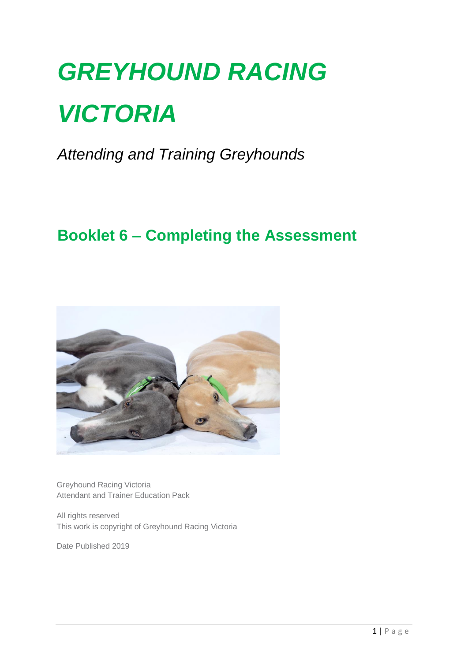# *GREYHOUND RACING VICTORIA*

*Attending and Training Greyhounds*

### **Booklet 6 – Completing the Assessment**



Greyhound Racing Victoria Attendant and Trainer Education Pack

All rights reserved This work is copyright of Greyhound Racing Victoria

Date Published 2019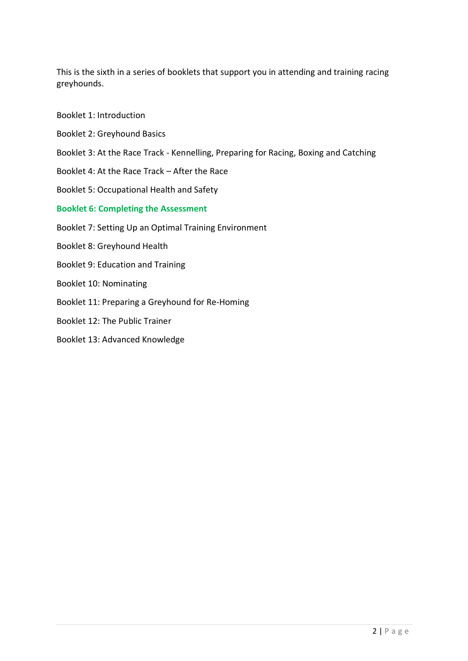This is the sixth in a series of booklets that support you in attending and training racing greyhounds.

- Booklet 1: Introduction
- Booklet 2: Greyhound Basics
- Booklet 3: At the Race Track Kennelling, Preparing for Racing, Boxing and Catching
- Booklet 4: At the Race Track After the Race
- Booklet 5: Occupational Health and Safety
- **Booklet 6: Completing the Assessment**
- Booklet 7: Setting Up an Optimal Training Environment
- Booklet 8: Greyhound Health
- Booklet 9: Education and Training
- Booklet 10: Nominating
- Booklet 11: Preparing a Greyhound for Re-Homing
- Booklet 12: The Public Trainer
- Booklet 13: Advanced Knowledge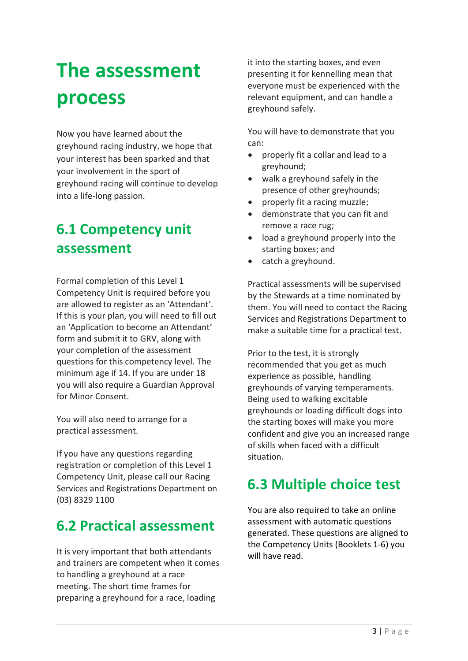## **The assessment process**

Now you have learned about the greyhound racing industry, we hope that your interest has been sparked and that your involvement in the sport of greyhound racing will continue to develop into a life-long passion.

#### **6.1 Competency unit assessment**

Formal completion of this Level 1 Competency Unit is required before you are allowed to register as an 'Attendant'. If this is your plan, you will need to fill out an 'Application to become an Attendant' form and submit it to GRV, along with your completion of the assessment questions for this competency level. The minimum age if 14. If you are under 18 you will also require a Guardian Approval for Minor Consent.

You will also need to arrange for a practical assessment.

If you have any questions regarding registration or completion of this Level 1 Competency Unit, please call our Racing Services and Registrations Department on (03) 8329 1100

#### **6.2 Practical assessment**

It is very important that both attendants and trainers are competent when it comes to handling a greyhound at a race meeting. The short time frames for preparing a greyhound for a race, loading

it into the starting boxes, and even presenting it for kennelling mean that everyone must be experienced with the relevant equipment, and can handle a greyhound safely.

You will have to demonstrate that you can:

- properly fit a collar and lead to a greyhound;
- walk a greyhound safely in the presence of other greyhounds;
- properly fit a racing muzzle;
- demonstrate that you can fit and remove a race rug;
- load a greyhound properly into the starting boxes; and
- catch a greyhound.

Practical assessments will be supervised by the Stewards at a time nominated by them. You will need to contact the Racing Services and Registrations Department to make a suitable time for a practical test.

Prior to the test, it is strongly recommended that you get as much experience as possible, handling greyhounds of varying temperaments. Being used to walking excitable greyhounds or loading difficult dogs into the starting boxes will make you more confident and give you an increased range of skills when faced with a difficult situation.

#### **6.3 Multiple choice test**

You are also required to take an online assessment with automatic questions generated. These questions are aligned to the Competency Units (Booklets 1-6) you will have read.